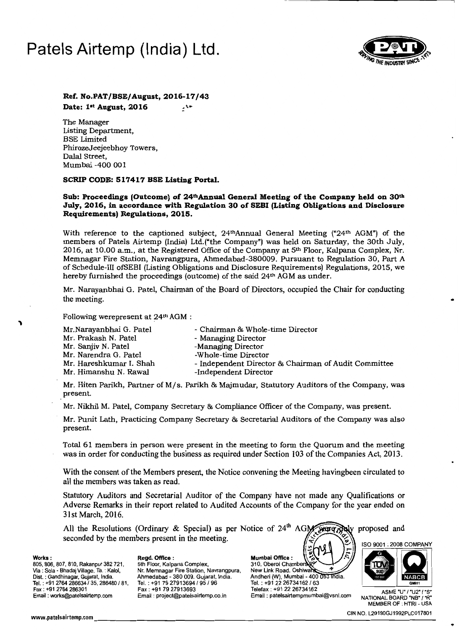# **Patels Airtemp (India) Ltd.**



### **Ref. No.PAT/SSE/August, 2016-17/43** Date: 1<sup>st</sup> August, 2016

The Manager Listing Department, BSE Limited PhirozeJeejeebhoy Towers, Dalal Street, Mumbai -400 001

### SCRIP CODE: 517417 BSE Listing Portal.

### Sub: Proceedings (Outcome) of 24<sup>th</sup>Annual General Meeting of the Company held on 30<sup>th</sup> July, 2016, in accordance with Regulation 30 of SEBI (Listing Obligations and Disclosure **Requirements) RecuIations, 2015.**

With reference to the captioned subject,  $24<sup>th</sup>$ Annual General Meeting (" $24<sup>th</sup>$  AGM") of the members of Patels Airtemp (India) Ltd.("the Company") was held on Saturday, the 30th July, 2016, at 10.00 a.m., at the Registered Office of the Company at 5th Floor, Kalpana Complex, Nr. Memnagar Fire Station, Navrangpura, Ahmedabad-380009. Pursuant to Regulation 30, Part A of Schedule-III offiEBI (Listing Obligations and Disclosure Requirements) Regulations, 2015, we hereby furnished the proceedings (outcome) of the said 24<sup>th</sup> AGM as under.

Mr. Narayanbhai G. Patel, Chairman of the Board of Directors, occupied the Chair for conducting the meeting.

Following werepresent at 24th AGM :

| Mr.Narayanbhai G. Patel | - Chairman & Whole-time Director                     |
|-------------------------|------------------------------------------------------|
| Mr. Prakash N. Patel    | - Managing Director                                  |
| Mr. Sanjiv N. Patel     | -Managing Director                                   |
| Mr. Narendra G. Patel   | -Whole-time Director                                 |
| Mr. Hareshkumar I. Shah | - Independent Director & Chairman of Audit Committee |
| Mr. Himanshu N. Rawal   | -Independent Director                                |

Mr. Hiten Parikh, Partner of M/s. Parikh & Majmudar, Statutory Auditors of the Company, was present.

Mr. Nikhil M. Patel, Company Secretary & Compliance Officer of the Company, was present.

Mr. Punit Lath, Practicing Company Secretary & Secretarial Auditors of the Company was also present.

Total 61 members in person were present in the meeting to form the Quorum and the meeting was in order for conducting the business as required under Section 103 of the Companies Act, 2013.

With the consent of the Members present, the Notice convening the Meeting havingbeen circulated to all the members was taken as read.

Statutory Auditors and Secretarial Auditor of the Company have not made any Qualifications or Adverse Remarks in their report related to Audited Accounts of the Company for the year ended on 31st March, 2016.

All the Resolutions (Ordinary & Special) as per Notice of  $24<sup>th</sup>$  AGM  $\rightarrow$ seconded by the members present in the meeting.  $W \text{orks}:$ <br> $\begin{bmatrix} \frac{1}{2} & \frac{1}{2} & \frac{1}{2} \\ \frac{1}{2} & \frac{1}{2} & \frac{1}{2} \end{bmatrix}$ 805, 806, 807, 810, Rakanpur 382 721, 5th Floor, Kalpana Complex, 310, Oberoi Chambers (1990)<br>Via : Sola - Bhadaj Village, Ta. : Kalol, Nr. Memnagar Fire Station, Navrangpura, New Link Road, Oshiward Nr. Memnagar Fire Station, Navrangpura,<br>Ahmedabad - 380 009. Gujarat, India. via : Sola - Briadaj village, Ta. . Naloi, N. . Merrinagar Pire Station, Navrangpura, New Erlik Road, Oshiwara<br>Dist. : Gandhinagar, Gujarat, India. Ahmedabad - 380 009. Gujarat, India. Andheri (W), Mumbai - 400 053 India. Tel. : +91 2764 286634 / 35, 286480 / 81, Tel. : +91 79 27913694 / 95 / 96<br>Tel. : +91 2764 286634 / 35, 286480 / 81, Tel. : +91 79 27913694 / 95 / 96 **Tel. : +91 27 26734162 / 63**<br>Fax : +91 2764 286301 **Fax : +91 79 27913** 

Fax: +91 2764 286301 Fax: +91 79 27913693 Telefax: +91 22 26734162 Telefax: +91 22 26734162 Fax: +91 22 75" ASME "U" / "U2" / "S"<br>Email : works@patelsairtemp.com Email : project@patelsairtemp.co.in Email : patelsairtempmum Email: project@patelsairtemp.co.in Email: patelsairtempmumbai@vsnl.com NATIONAL BOARD "NB" / "R" **MEMBER OF : HTRI - USA** www.patelsairtemp.com enterprise to the community of the community of the community of the community of the community of the community of the community of the community of the community of the community of the community of

•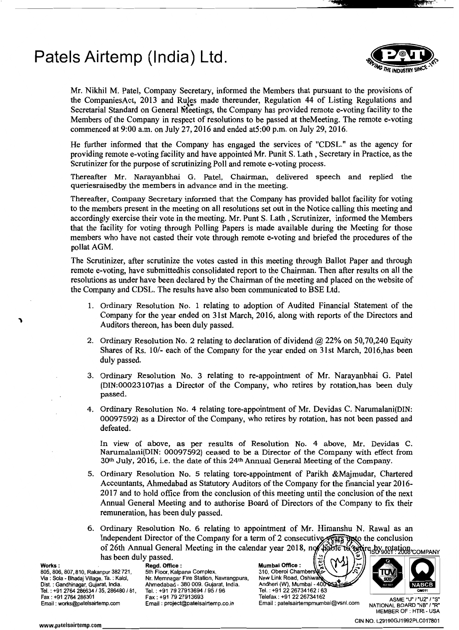## **Patels Airtemp (India) Ltd.**



Mr. Nikhil M. Patel, Company Secretary, informed the Members that pursuant to the provisions of the CompaniesAct, 2013 and Rules made thereunder, Regulation 44 of Listing Regulations and Secretarial Standard on General Meetings, the Company has provided remote e-voting facility to the Members of the Company in respect of resolutions to be passed at theMeeting. The remote e-voting commenced at 9:00 a.m. on July 27, 2016 and ended at5:00 p.m. on July 29,2016.

\_\_.....\_\_\_..... \_\_\_\_\_\_\_\_\_\_\_\_\_\_......:.e·~.!.a••••••••~it!l'!.!!kV~,:~~.--.:..'\_

He further informed that the Company has engaged the services of "CDSL." as the agency for providing remote e-voting facility and have appointed Mr. Punit S. Lath, Secretary in Practice, as the Scrutinizer for the purpose of scrutinizing Poll and remote e-voting process.

Thereafter Mr. Narayanbhai G. Patel, Chairman, delivered speech and replied the queriesraisedby the members in advance and in the meeting.

Thereafter, Company Secretary informed that the Company has provided ballot facility for voting to the members present in the meeting on all resolutions set out in the Notice calling this meeting and accordingly exercise their vote in the meeting. Mr. Punt S. Lath, Scrutinizer, informed the Members that the facility for voting through Polling Papers is made available during the Meeting for those members who have not casted their vote through remote e-voting and briefed the procedures of the pollat AGM.

The Scrutinizer, after scrutinize the votes casted in this meeting through Ballot Paper and through remote e-voting, have submittedhis consolidated report to the Chairman. Then after results on all the resolutions as under have been declared by the Chairman of the meeting and placed on the website of the Company and CDSL. The results have also been communicated to BSE Ltd.

- 1. Ordinary Resolution No. 1 relating to adoption of Audited Financial Statement of the Company for the year ended on 31st March, 2016, along with reports of the Directors and Auditors thereon, has been duly passed.
- 2. Ordinary Resolution No. 2 relating to declaration of dividend  $\omega$  22% on 50,70,240 Equity Shares of Rs. 10/- each of the Company for the year ended on 31st March, 2016,has been duly passed.
- 3. Ordinary Resolution No. 3 relating to re-appointment of Mr. Narayanbhai G. Patel (DIN:00023107)as a Director of the Company, who retires by rotation,has been duly passed.
- 4. Ordinary Resolution No. 4 relating tore-appointment of Mr. Devidas C. Narumalani(DIN: 00097592) as a Director of the Company, who retires by rotation, has not been passed and defeated.

In view of above, as per results of Resolution No. 4 above, Mr. Devidas C. Narumalani(DIN: 00097592} ceased to be a Director of the Company with effect from  $30<sup>th</sup>$  July, 2016, i.e. the date of this 24<sup>th</sup> Annual General Meeting of the Company.

- 5. Ordinary Resolution No. 5 relating tore-appointment of Parikh &Majmudar, Chartered Accountants, Ahmedabad as Statutory Auditors of the Company for the financial year 2016 2017 and to hold office from the conclusion of this meeting until the conclusion of the next Annual General Meeting and to authorise Board of Directors of the Company to fix their remuneration, has been duly passed.
- 6. Ordinary Resolution No. 6 relating to appointment of Mr. Himanshu N. Rawal as an Independent Director of the Company for a term of 2 consecutive  $\sqrt{g}$ Independent Director of the Company for a term of 2 consecutive. of 26th Annual General Meeting in the calendar year 2018, not that the two technics of 26th Annual General Meeting in the calendar year 2018, not that the two stations.

Tel.: +91 2764 286634 / 35, 286480 / 81, Tel.: +91 79 27913694<br>Fax : +91 79 27913693 . Fax : +91 79 27913693

Norks: **Works: Regd. Office:** Neggeness Mumbai Office: 1<br>105.806.807.810. Rakanpur 382 721. 5th Floor. Kalpana Complex. 2310. Oberoi Chambers 805,905,900 Village, Ta, Yalol, Nr. Memnagar Fire Station, Navrangpura, New Link Road, Oshiward ...<br>Dist. : Gandhinagar, Gujarat, India. Ahmedabad - 380 009. Gujarat, India. Andhen (W), Mumbai - 400 Ahmedabad - 380 009. Gujarat, India. Andheri (W), Mumbai - 400 Q<del>S3 Their</del> and Bases and Bases and Discover and Discover and Discover and Discover and Discover and Discover and Discover and Discover and Discover and Discov Fax: +912764 286301 Fax: +91 7927913693 Telefax: +91 2226734162

ASME "U" / "U2" / "S"<br>Email: patelsairtempmumbai@vsnl.com NATIONAL BOARD "NB" / "R"



MEMBER OF : HTRI - USA

CIN NO. L29190GJ1992PLC017801 www.patelsairtemp.cllm \_\_\_\_\_\_\_\_\_\_\_\_\_\_\_\_\_\_\_\_\_\_\_\_\_\_\_\_\_\_\_\_\_\_\_\_